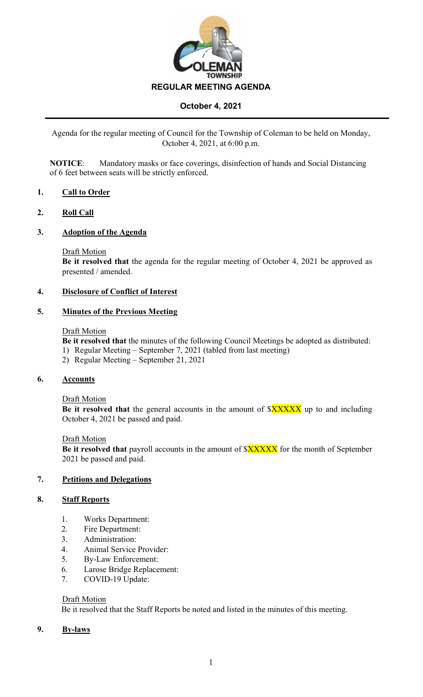

Agenda for the regular meeting of Council for the Township of Coleman to be held on Monday, October 4, 2021, at 6:00 p.m.

**NOTICE**: Mandatory masks or face coverings, disinfection of hands and Social Distancing of 6 feet between seats will be strictly enforced.

#### **1. Call to Order**

#### **2. Roll Call**

#### **3. Adoption of the Agenda**

#### Draft Motion

**Be it resolved that** the agenda for the regular meeting of October 4, 2021 be approved as presented / amended.

#### **4. Disclosure of Conflict of Interest**

#### **5. Minutes of the Previous Meeting**

#### Draft Motion

**Be it resolved that** the minutes of the following Council Meetings be adopted as distributed:

- 1) Regular Meeting September 7, 2021 (tabled from last meeting)
- 2) Regular Meeting September 21, 2021

#### **6. Accounts**

#### Draft Motion

**Be it resolved that** the general accounts in the amount of  $XXXXX$  up to and including October 4, 2021 be passed and paid.

#### Draft Motion

**Be it resolved that** payroll accounts in the amount of  $\frac{8XXXX}{X}$  for the month of September 2021 be passed and paid.

## **7. Petitions and Delegations**

#### **8. Staff Reports**

- 1. Works Department:
- 2. Fire Department:
- 3. Administration:
- 4. Animal Service Provider:
- 5. By-Law Enforcement:
- 6. Larose Bridge Replacement:
- 7. COVID-19 Update:

#### Draft Motion

Be it resolved that the Staff Reports be noted and listed in the minutes of this meeting.

#### **9. By-laws**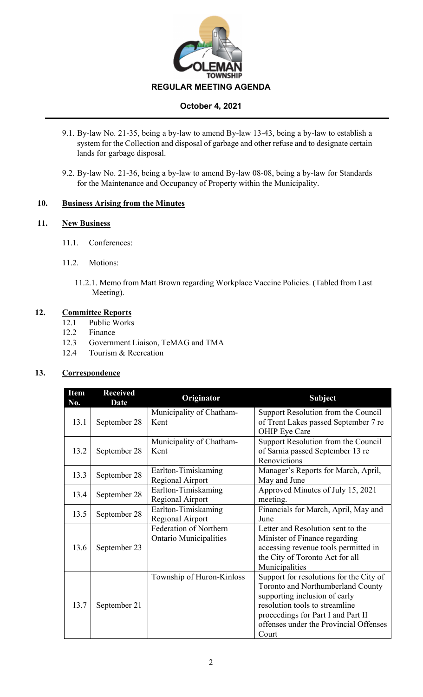

- 9.1. By-law No. 21-35, being a by-law to amend By-law 13-43, being a by-law to establish a system for the Collection and disposal of garbage and other refuse and to designate certain lands for garbage disposal.
- 9.2. By-law No. 21-36, being a by-law to amend By-law 08-08, being a by-law for Standards for the Maintenance and Occupancy of Property within the Municipality.

## **10. Business Arising from the Minutes**

## **11. New Business**

- 11.1. Conferences:
- 11.2. Motions:
	- 11.2.1. Memo from Matt Brown regarding Workplace Vaccine Policies. (Tabled from Last Meeting).

## **12. Committee Reports**

- 12.1 Public Works
- 12.2 Finance
- 12.3 Government Liaison, TeMAG and TMA
- 12.4 Tourism & Recreation

## **13. Correspondence**

| <b>Item</b><br>No. | <b>Received</b><br><b>Date</b> | Originator                                              | <b>Subject</b>                                                                                                                                                                                                                           |
|--------------------|--------------------------------|---------------------------------------------------------|------------------------------------------------------------------------------------------------------------------------------------------------------------------------------------------------------------------------------------------|
| 13.1               | September 28                   | Municipality of Chatham-<br>Kent                        | Support Resolution from the Council<br>of Trent Lakes passed September 7 re<br>OHIP Eye Care                                                                                                                                             |
| 13.2               | September 28                   | Municipality of Chatham-<br>Kent                        | Support Resolution from the Council<br>of Sarnia passed September 13 re<br>Renovictions                                                                                                                                                  |
| 13.3               | September 28                   | Earlton-Timiskaming<br>Regional Airport                 | Manager's Reports for March, April,<br>May and June                                                                                                                                                                                      |
| 13.4               | September 28                   | Earlton-Timiskaming<br>Regional Airport                 | Approved Minutes of July 15, 2021<br>meeting.                                                                                                                                                                                            |
| 13.5               | September 28                   | Earlton-Timiskaming<br>Regional Airport                 | Financials for March, April, May and<br>June                                                                                                                                                                                             |
| 13.6               | September 23                   | Federation of Northern<br><b>Ontario Municipalities</b> | Letter and Resolution sent to the<br>Minister of Finance regarding<br>accessing revenue tools permitted in<br>the City of Toronto Act for all<br>Municipalities                                                                          |
| 13.7               | September 21                   | Township of Huron-Kinloss                               | Support for resolutions for the City of<br>Toronto and Northumberland County<br>supporting inclusion of early<br>resolution tools to streamline<br>proceedings for Part I and Part II<br>offenses under the Provincial Offenses<br>Court |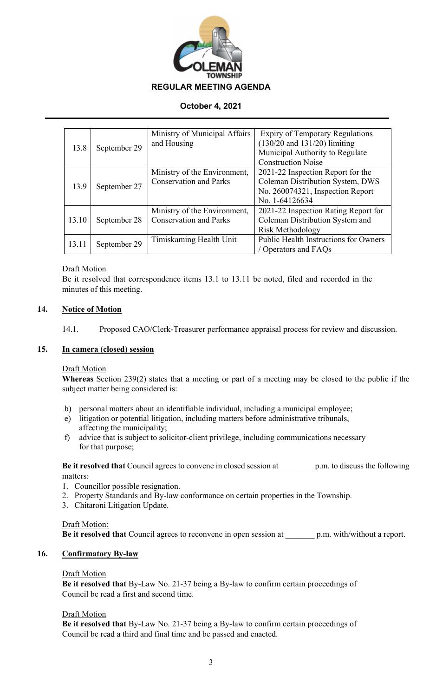

|       |              | Ministry of Municipal Affairs | <b>Expiry of Temporary Regulations</b> |
|-------|--------------|-------------------------------|----------------------------------------|
| 13.8  | September 29 | and Housing                   | $(130/20$ and $131/20$ ) limiting      |
|       |              |                               | Municipal Authority to Regulate        |
|       |              |                               | <b>Construction Noise</b>              |
| 13.9  | September 27 | Ministry of the Environment,  | 2021-22 Inspection Report for the      |
|       |              | <b>Conservation and Parks</b> | Coleman Distribution System, DWS       |
|       |              |                               | No. 260074321, Inspection Report       |
|       |              |                               | No. 1-64126634                         |
|       |              | Ministry of the Environment,  | 2021-22 Inspection Rating Report for   |
| 13.10 | September 28 | <b>Conservation and Parks</b> | Coleman Distribution System and        |
|       |              |                               | Risk Methodology                       |
| 13.11 | September 29 | Timiskaming Health Unit       | Public Health Instructions for Owners  |
|       |              |                               | / Operators and FAQs                   |

#### Draft Motion

Be it resolved that correspondence items 13.1 to 13.11 be noted, filed and recorded in the minutes of this meeting.

## **14. Notice of Motion**

14.1. Proposed CAO/Clerk-Treasurer performance appraisal process for review and discussion.

#### **15. In camera (closed) session**

#### Draft Motion

**Whereas** Section 239(2) states that a meeting or part of a meeting may be closed to the public if the subject matter being considered is:

- b) personal matters about an identifiable individual, including a municipal employee;
- e) litigation or potential litigation, including matters before administrative tribunals, affecting the municipality;
- f) advice that is subject to solicitor-client privilege, including communications necessary for that purpose;

**Be it resolved that** Council agrees to convene in closed session at \_\_\_\_\_\_\_\_ p.m. to discuss the following matters:

- 1. Councillor possible resignation.
- 2. Property Standards and By-law conformance on certain properties in the Township.
- 3. Chitaroni Litigation Update.

#### Draft Motion:

**Be it resolved that** Council agrees to reconvene in open session at \_\_\_\_\_\_\_ p.m. with/without a report.

#### **16. Confirmatory By-law**

#### Draft Motion

**Be it resolved that** By-Law No. 21-37 being a By-law to confirm certain proceedings of Council be read a first and second time.

#### Draft Motion

**Be it resolved that** By-Law No. 21-37 being a By-law to confirm certain proceedings of Council be read a third and final time and be passed and enacted.